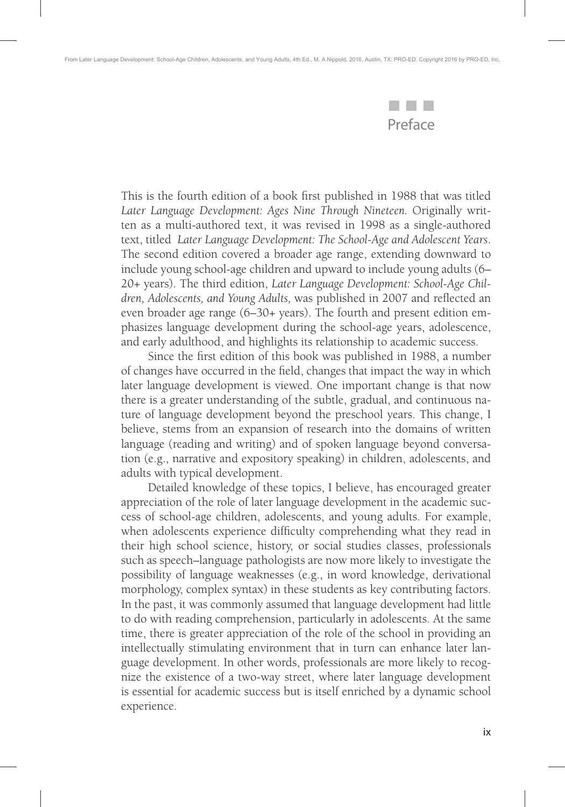

This is the fourth edition of a book first published in 1988 that was titled *Later Language Development: Ages Nine Through Nineteen.* Originally written as a multi-authored text, it was revised in 1998 as a single-authored text, titled *Later Language Development: The School-Age and Adolescent Years*. The second edition covered a broader age range, extending downward to include young school-age children and upward to include young adults (6– 20+ years). The third edition, *Later Language Development: School-Age Chil*dren, Adolescents, and Young Adults, was published in 2007 and reflected an even broader age range (6–30+ years). The fourth and present edition emphasizes language development during the school-age years, adolescence, and early adulthood, and highlights its relationship to academic success.

Since the first edition of this book was published in 1988, a number of changes have occurred in the field, changes that impact the way in which later language development is viewed. One important change is that now there is a greater understanding of the subtle, gradual, and continuous nature of language development beyond the preschool years. This change, I believe, stems from an expansion of research into the domains of written language (reading and writing) and of spoken language beyond conversation (e.g., narrative and expository speaking) in children, adolescents, and adults with typical development.

Detailed knowledge of these topics, I believe, has encouraged greater appreciation of the role of later language development in the academic success of school-age children, adolescents, and young adults. For example, when adolescents experience difficulty comprehending what they read in their high school science, history, or social studies classes, professionals such as speech–language pathologists are now more likely to investigate the possibility of language weaknesses (e.g., in word knowledge, derivational morphology, complex syntax) in these students as key contributing factors. In the past, it was commonly assumed that language development had little to do with reading comprehension, particularly in adolescents. At the same time, there is greater appreciation of the role of the school in providing an intellectually stimulating environment that in turn can enhance later language development. In other words, professionals are more likely to recognize the existence of a two-way street, where later language development is essential for academic success but is itself enriched by a dynamic school experience.